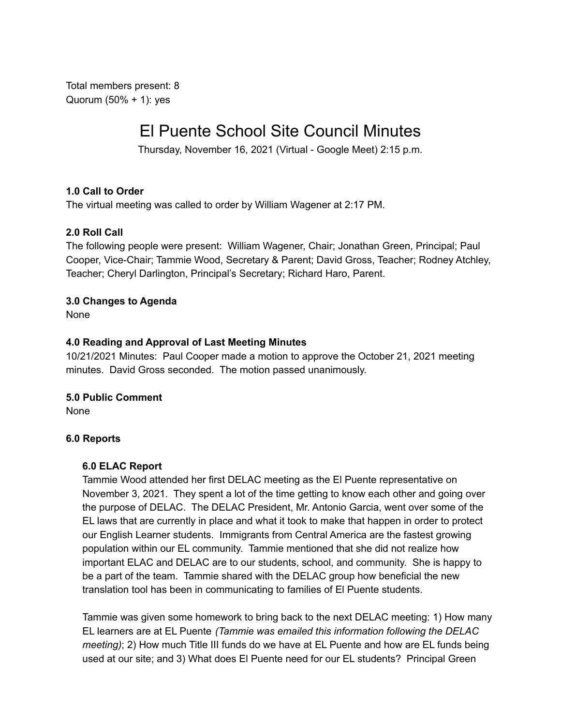Total members present: 8 Quorum (50% + 1): yes

# El Puente School Site Council Minutes

Thursday, November 16, 2021 (Virtual - Google Meet) 2:15 p.m.

## **1.0 Call to Order**

The virtual meeting was called to order by William Wagener at 2:17 PM.

#### **2.0 Roll Call**

The following people were present: William Wagener, Chair; Jonathan Green, Principal; Paul Cooper, Vice-Chair; Tammie Wood, Secretary & Parent; David Gross, Teacher; Rodney Atchley, Teacher; Cheryl Darlington, Principal's Secretary; Richard Haro, Parent.

## **3.0 Changes to Agenda**

None

#### **4.0 Reading and Approval of Last Meeting Minutes**

10/21/2021 Minutes: Paul Cooper made a motion to approve the October 21, 2021 meeting minutes. David Gross seconded. The motion passed unanimously.

#### **5.0 Public Comment**

None

#### **6.0 Reports**

#### **6.0 ELAC Report**

Tammie Wood attended her first DELAC meeting as the El Puente representative on November 3, 2021. They spent a lot of the time getting to know each other and going over the purpose of DELAC. The DELAC President, Mr. Antonio Garcia, went over some of the EL laws that are currently in place and what it took to make that happen in order to protect our English Learner students. Immigrants from Central America are the fastest growing population within our EL community. Tammie mentioned that she did not realize how important ELAC and DELAC are to our students, school, and community. She is happy to be a part of the team. Tammie shared with the DELAC group how beneficial the new translation tool has been in communicating to families of El Puente students.

Tammie was given some homework to bring back to the next DELAC meeting: 1) How many EL learners are at EL Puente *(Tammie was emailed this information following the DELAC meeting)*; 2) How much Title III funds do we have at EL Puente and how are EL funds being used at our site; and 3) What does El Puente need for our EL students? Principal Green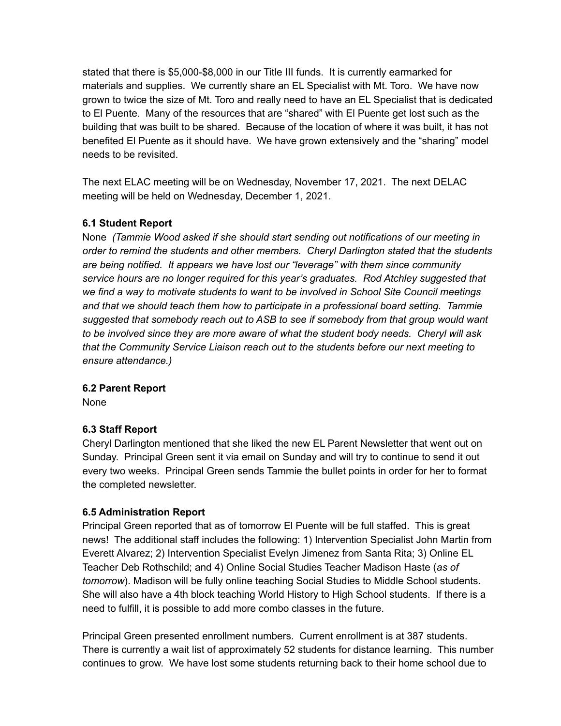stated that there is \$5,000-\$8,000 in our Title III funds. It is currently earmarked for materials and supplies. We currently share an EL Specialist with Mt. Toro. We have now grown to twice the size of Mt. Toro and really need to have an EL Specialist that is dedicated to El Puente. Many of the resources that are "shared" with El Puente get lost such as the building that was built to be shared. Because of the location of where it was built, it has not benefited El Puente as it should have. We have grown extensively and the "sharing" model needs to be revisited.

The next ELAC meeting will be on Wednesday, November 17, 2021. The next DELAC meeting will be held on Wednesday, December 1, 2021.

# **6.1 Student Report**

None *(Tammie Wood asked if she should start sending out notifications of our meeting in order to remind the students and other members. Cheryl Darlington stated that the students are being notified. It appears we have lost our "leverage" with them since community service hours are no longer required for this year's graduates. Rod Atchley suggested that we find a way to motivate students to want to be involved in School Site Council meetings and that we should teach them how to participate in a professional board setting. Tammie suggested that somebody reach out to ASB to see if somebody from that group would want to be involved since they are more aware of what the student body needs. Cheryl will ask that the Community Service Liaison reach out to the students before our next meeting to ensure attendance.)*

#### **6.2 Parent Report**

None

# **6.3 Staff Report**

Cheryl Darlington mentioned that she liked the new EL Parent Newsletter that went out on Sunday. Principal Green sent it via email on Sunday and will try to continue to send it out every two weeks. Principal Green sends Tammie the bullet points in order for her to format the completed newsletter.

#### **6.5 Administration Report**

Principal Green reported that as of tomorrow El Puente will be full staffed. This is great news! The additional staff includes the following: 1) Intervention Specialist John Martin from Everett Alvarez; 2) Intervention Specialist Evelyn Jimenez from Santa Rita; 3) Online EL Teacher Deb Rothschild; and 4) Online Social Studies Teacher Madison Haste (*as of tomorrow*). Madison will be fully online teaching Social Studies to Middle School students. She will also have a 4th block teaching World History to High School students. If there is a need to fulfill, it is possible to add more combo classes in the future.

Principal Green presented enrollment numbers. Current enrollment is at 387 students. There is currently a wait list of approximately 52 students for distance learning. This number continues to grow. We have lost some students returning back to their home school due to